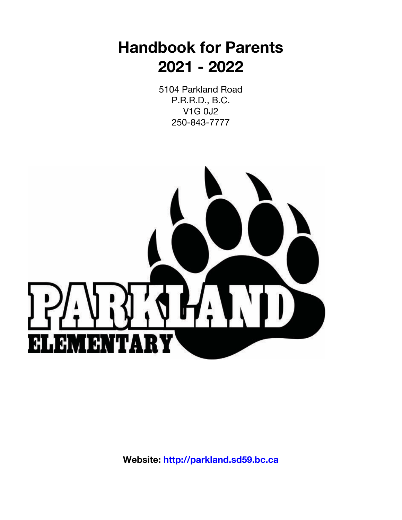# **Handbook for Parents 2021 - 2022**

5104 Parkland Road P.R.R.D., B.C. V1G 0J2 250-843-7777



**Website: http://parkland.sd59.bc.ca**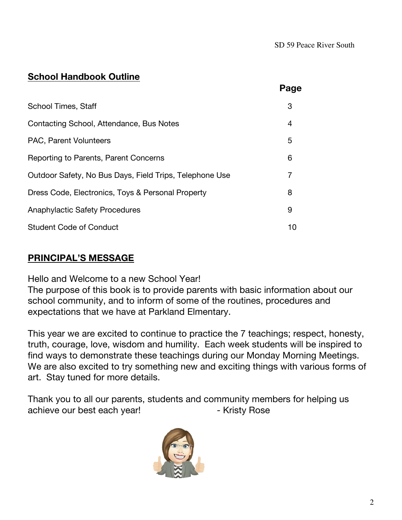## **School Handbook Outline**

|                                                         | Page |
|---------------------------------------------------------|------|
| School Times, Staff                                     | 3    |
| Contacting School, Attendance, Bus Notes                | 4    |
| PAC, Parent Volunteers                                  | 5    |
| Reporting to Parents, Parent Concerns                   | 6    |
| Outdoor Safety, No Bus Days, Field Trips, Telephone Use | 7    |
| Dress Code, Electronics, Toys & Personal Property       | 8    |
| <b>Anaphylactic Safety Procedures</b>                   | 9    |
| <b>Student Code of Conduct</b>                          | 10   |

## **PRINCIPAL'S MESSAGE**

Hello and Welcome to a new School Year!

The purpose of this book is to provide parents with basic information about our school community, and to inform of some of the routines, procedures and expectations that we have at Parkland Elmentary.

This year we are excited to continue to practice the 7 teachings; respect, honesty, truth, courage, love, wisdom and humility. Each week students will be inspired to find ways to demonstrate these teachings during our Monday Morning Meetings. We are also excited to try something new and exciting things with various forms of art. Stay tuned for more details.

Thank you to all our parents, students and community members for helping us achieve our best each year! The Society Press Parties of Kristy Rose

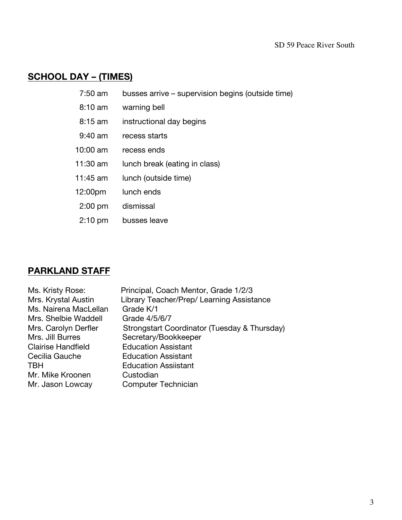## **SCHOOL DAY – (TIMES)**

| $7:50$ am          | busses arrive – supervision begins (outside time) |
|--------------------|---------------------------------------------------|
| $8:10 \text{ am}$  | warning bell                                      |
| $8:15 \text{ am}$  | instructional day begins                          |
| $9:40 \text{ am}$  | recess starts                                     |
| $10:00 \text{ am}$ | recess ends                                       |
| 11:30 am           | lunch break (eating in class)                     |
| $11:45$ am         | lunch (outside time)                              |
| 12:00pm            | lunch ends                                        |
| $2:00$ pm          | dismissal                                         |
| $2:10 \text{ pm}$  | busses leave                                      |

## **PARKLAND STAFF**

| Ms. Kristy Rose:          | Principal, Coach Mentor, Grade 1/2/3         |
|---------------------------|----------------------------------------------|
| Mrs. Krystal Austin       | Library Teacher/Prep/ Learning Assistance    |
| Ms. Nairena MacLellan     | Grade K/1                                    |
| Mrs. Shelbie Waddell      | Grade 4/5/6/7                                |
| Mrs. Carolyn Derfler      | Strongstart Coordinator (Tuesday & Thursday) |
| Mrs. Jill Burres          | Secretary/Bookkeeper                         |
| <b>Clairise Handfield</b> | <b>Education Assistant</b>                   |
| Cecilia Gauche            | <b>Education Assistant</b>                   |
| <b>TBH</b>                | <b>Education Assiistant</b>                  |
| Mr. Mike Kroonen          | Custodian                                    |
| Mr. Jason Lowcay          | <b>Computer Technician</b>                   |
|                           |                                              |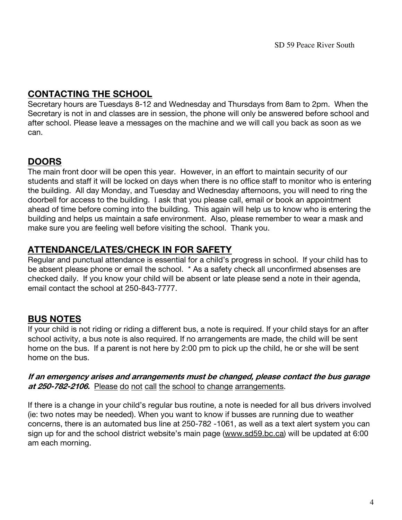## **CONTACTING THE SCHOOL**

Secretary hours are Tuesdays 8-12 and Wednesday and Thursdays from 8am to 2pm. When the Secretary is not in and classes are in session, the phone will only be answered before school and after school. Please leave a messages on the machine and we will call you back as soon as we can.

## **DOORS**

The main front door will be open this year. However, in an effort to maintain security of our students and staff it will be locked on days when there is no office staff to monitor who is entering the building. All day Monday, and Tuesday and Wednesday afternoons, you will need to ring the doorbell for access to the building. I ask that you please call, email or book an appointment ahead of time before coming into the building. This again will help us to know who is entering the building and helps us maintain a safe environment. Also, please remember to wear a mask and make sure you are feeling well before visiting the school. Thank you.

## **ATTENDANCE/LATES/CHECK IN FOR SAFETY**

Regular and punctual attendance is essential for a child's progress in school. If your child has to be absent please phone or email the school. \* As a safety check all unconfirmed absenses are checked daily. If you know your child will be absent or late please send a note in their agenda, email contact the school at 250-843-7777.

## **BUS NOTES**

If your child is not riding or riding a different bus, a note is required. If your child stays for an after school activity, a bus note is also required. If no arrangements are made, the child will be sent home on the bus. If a parent is not here by 2:00 pm to pick up the child, he or she will be sent home on the bus.

#### **If an emergency arises and arrangements must be changed, please contact the bus garage at 250-782-2106.** Please do not call the school to change arrangements.

If there is a change in your child's regular bus routine, a note is needed for all bus drivers involved (ie: two notes may be needed). When you want to know if busses are running due to weather concerns, there is an automated bus line at 250-782 -1061, as well as a text alert system you can sign up for and the school district website's main page (www.sd59.bc.ca) will be updated at 6:00 am each morning.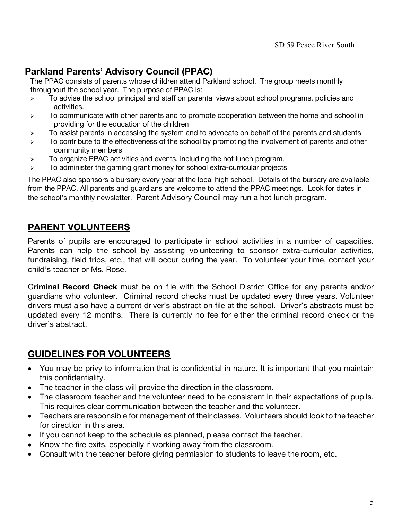## **Parkland Parents' Advisory Council (PPAC)**

The PPAC consists of parents whose children attend Parkland school. The group meets monthly throughout the school year. The purpose of PPAC is:

- $\triangleright$  To advise the school principal and staff on parental views about school programs, policies and activities.
- $\triangleright$  To communicate with other parents and to promote cooperation between the home and school in providing for the education of the children
- $\triangleright$  To assist parents in accessing the system and to advocate on behalf of the parents and students
- $\triangleright$  To contribute to the effectiveness of the school by promoting the involvement of parents and other community members
- $\triangleright$  To organize PPAC activities and events, including the hot lunch program.
- $\triangleright$  To administer the gaming grant money for school extra-curricular projects

The PPAC also sponsors a bursary every year at the local high school. Details of the bursary are available from the PPAC. All parents and guardians are welcome to attend the PPAC meetings. Look for dates in the school's monthly newsletter. Parent Advisory Council may run a hot lunch program.

## **PARENT VOLUNTEERS**

Parents of pupils are encouraged to participate in school activities in a number of capacities. Parents can help the school by assisting volunteering to sponsor extra-curricular activities, fundraising, field trips, etc., that will occur during the year. To volunteer your time, contact your child's teacher or Ms. Rose.

C**riminal Record Check** must be on file with the School District Office for any parents and/or guardians who volunteer. Criminal record checks must be updated every three years. Volunteer drivers must also have a current driver's abstract on file at the school. Driver's abstracts must be updated every 12 months. There is currently no fee for either the criminal record check or the driver's abstract.

## **GUIDELINES FOR VOLUNTEERS**

- You may be privy to information that is confidential in nature. It is important that you maintain this confidentiality.
- The teacher in the class will provide the direction in the classroom.
- The classroom teacher and the volunteer need to be consistent in their expectations of pupils. This requires clear communication between the teacher and the volunteer.
- Teachers are responsible for management of their classes. Volunteers should look to the teacher for direction in this area.
- If you cannot keep to the schedule as planned, please contact the teacher.
- Know the fire exits, especially if working away from the classroom.
- Consult with the teacher before giving permission to students to leave the room, etc.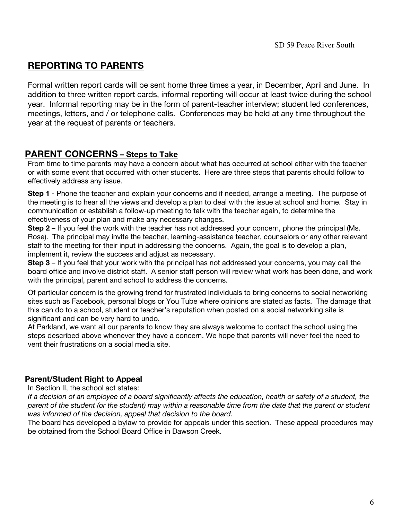## **REPORTING TO PARENTS**

Formal written report cards will be sent home three times a year, in December, April and June. In addition to three written report cards, informal reporting will occur at least twice during the school year. Informal reporting may be in the form of parent-teacher interview; student led conferences, meetings, letters, and / or telephone calls. Conferences may be held at any time throughout the year at the request of parents or teachers.

### **PARENT CONCERNS – Steps to Take**

From time to time parents may have a concern about what has occurred at school either with the teacher or with some event that occurred with other students. Here are three steps that parents should follow to effectively address any issue.

**Step 1** - Phone the teacher and explain your concerns and if needed, arrange a meeting. The purpose of the meeting is to hear all the views and develop a plan to deal with the issue at school and home. Stay in communication or establish a follow-up meeting to talk with the teacher again, to determine the effectiveness of your plan and make any necessary changes.

**Step 2** – If you feel the work with the teacher has not addressed your concern, phone the principal (Ms. Rose). The principal may invite the teacher, learning-assistance teacher, counselors or any other relevant staff to the meeting for their input in addressing the concerns. Again, the goal is to develop a plan, implement it, review the success and adjust as necessary.

**Step 3** – If you feel that your work with the principal has not addressed your concerns, you may call the board office and involve district staff. A senior staff person will review what work has been done, and work with the principal, parent and school to address the concerns.

Of particular concern is the growing trend for frustrated individuals to bring concerns to social networking sites such as Facebook, personal blogs or You Tube where opinions are stated as facts. The damage that this can do to a school, student or teacher's reputation when posted on a social networking site is significant and can be very hard to undo.

At Parkland, we want all our parents to know they are always welcome to contact the school using the steps described above whenever they have a concern. We hope that parents will never feel the need to vent their frustrations on a social media site.

#### **Parent/Student Right to Appeal**

In Section II, the school act states:

*If a decision of an employee of a board significantly affects the education, health or safety of a student, the parent of the student (or the student) may within a reasonable time from the date that the parent or student was informed of the decision, appeal that decision to the board.* 

The board has developed a bylaw to provide for appeals under this section. These appeal procedures may be obtained from the School Board Office in Dawson Creek.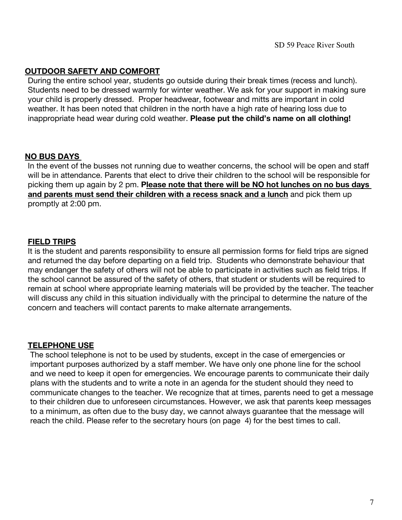#### **OUTDOOR SAFETY AND COMFORT**

During the entire school year, students go outside during their break times (recess and lunch). Students need to be dressed warmly for winter weather. We ask for your support in making sure your child is properly dressed. Proper headwear, footwear and mitts are important in cold weather. It has been noted that children in the north have a high rate of hearing loss due to inappropriate head wear during cold weather. **Please put the child's name on all clothing!**

#### **NO BUS DAYS**

In the event of the busses not running due to weather concerns, the school will be open and staff will be in attendance. Parents that elect to drive their children to the school will be responsible for picking them up again by 2 pm. **Please note that there will be NO hot lunches on no bus days and parents must send their children with a recess snack and a lunch** and pick them up promptly at 2:00 pm.

#### **FIELD TRIPS**

It is the student and parents responsibility to ensure all permission forms for field trips are signed and returned the day before departing on a field trip. Students who demonstrate behaviour that may endanger the safety of others will not be able to participate in activities such as field trips. If the school cannot be assured of the safety of others, that student or students will be required to remain at school where appropriate learning materials will be provided by the teacher. The teacher will discuss any child in this situation individually with the principal to determine the nature of the concern and teachers will contact parents to make alternate arrangements.

#### **TELEPHONE USE**

The school telephone is not to be used by students, except in the case of emergencies or important purposes authorized by a staff member. We have only one phone line for the school and we need to keep it open for emergencies. We encourage parents to communicate their daily plans with the students and to write a note in an agenda for the student should they need to communicate changes to the teacher. We recognize that at times, parents need to get a message to their children due to unforeseen circumstances. However, we ask that parents keep messages to a minimum, as often due to the busy day, we cannot always guarantee that the message will reach the child. Please refer to the secretary hours (on page 4) for the best times to call.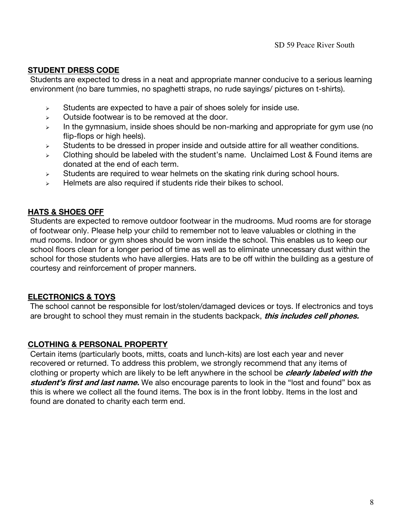#### **STUDENT DRESS CODE**

Students are expected to dress in a neat and appropriate manner conducive to a serious learning environment (no bare tummies, no spaghetti straps, no rude sayings/ pictures on t-shirts).

- $\triangleright$  Students are expected to have a pair of shoes solely for inside use.
- $\triangleright$  Outside footwear is to be removed at the door.
- $\triangleright$  In the gymnasium, inside shoes should be non-marking and appropriate for gym use (no flip-flops or high heels).
- $\triangleright$  Students to be dressed in proper inside and outside attire for all weather conditions.
- $\triangleright$  Clothing should be labeled with the student's name. Unclaimed Lost & Found items are donated at the end of each term.
- $\triangleright$  Students are required to wear helmets on the skating rink during school hours.
- $\triangleright$  Helmets are also required if students ride their bikes to school.

#### **HATS & SHOES OFF**

Students are expected to remove outdoor footwear in the mudrooms. Mud rooms are for storage of footwear only. Please help your child to remember not to leave valuables or clothing in the mud rooms. Indoor or gym shoes should be worn inside the school. This enables us to keep our school floors clean for a longer period of time as well as to eliminate unnecessary dust within the school for those students who have allergies. Hats are to be off within the building as a gesture of courtesy and reinforcement of proper manners.

#### **ELECTRONICS & TOYS**

The school cannot be responsible for lost/stolen/damaged devices or toys. If electronics and toys are brought to school they must remain in the students backpack, **this includes cell phones.**

#### **CLOTHING & PERSONAL PROPERTY**

Certain items (particularly boots, mitts, coats and lunch-kits) are lost each year and never recovered or returned. To address this problem, we strongly recommend that any items of clothing or property which are likely to be left anywhere in the school be **clearly labeled with the student's first and last name.** We also encourage parents to look in the "lost and found" box as this is where we collect all the found items. The box is in the front lobby. Items in the lost and found are donated to charity each term end.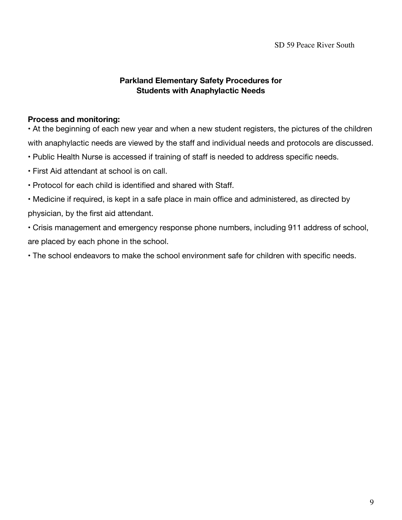SD 59 Peace River South

#### **Parkland Elementary Safety Procedures for Students with Anaphylactic Needs**

#### **Process and monitoring:**

• At the beginning of each new year and when a new student registers, the pictures of the children with anaphylactic needs are viewed by the staff and individual needs and protocols are discussed.

- Public Health Nurse is accessed if training of staff is needed to address specific needs.
- First Aid attendant at school is on call.
- Protocol for each child is identified and shared with Staff.
- Medicine if required, is kept in a safe place in main office and administered, as directed by physician, by the first aid attendant.
- Crisis management and emergency response phone numbers, including 911 address of school, are placed by each phone in the school.
- The school endeavors to make the school environment safe for children with specific needs.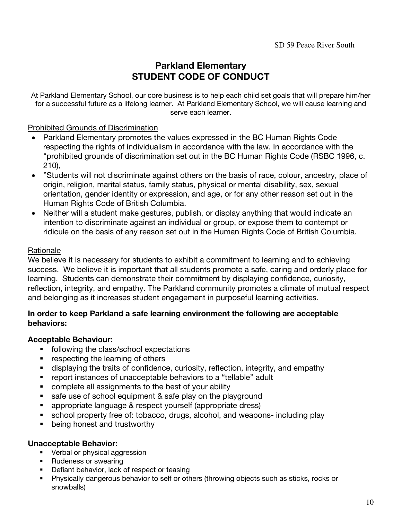## **Parkland Elementary STUDENT CODE OF CONDUCT**

At Parkland Elementary School, our core business is to help each child set goals that will prepare him/her for a successful future as a lifelong learner. At Parkland Elementary School, we will cause learning and serve each learner.

#### Prohibited Grounds of Discrimination

- Parkland Elementary promotes the values expressed in the BC Human Rights Code respecting the rights of individualism in accordance with the law. In accordance with the "prohibited grounds of discrimination set out in the BC Human Rights Code (RSBC 1996, c. 210),
- "Students will not discriminate against others on the basis of race, colour, ancestry, place of origin, religion, marital status, family status, physical or mental disability, sex, sexual orientation, gender identity or expression, and age, or for any other reason set out in the Human Rights Code of British Columbia.
- Neither will a student make gestures, publish, or display anything that would indicate an intention to discriminate against an individual or group, or expose them to contempt or ridicule on the basis of any reason set out in the Human Rights Code of British Columbia.

#### Rationale

We believe it is necessary for students to exhibit a commitment to learning and to achieving success. We believe it is important that all students promote a safe, caring and orderly place for learning. Students can demonstrate their commitment by displaying confidence, curiosity, reflection, integrity, and empathy. The Parkland community promotes a climate of mutual respect and belonging as it increases student engagement in purposeful learning activities.

#### **In order to keep Parkland a safe learning environment the following are acceptable behaviors:**

#### **Acceptable Behaviour:**

- following the class/school expectations
- respecting the learning of others
- displaying the traits of confidence, curiosity, reflection, integrity, and empathy
- report instances of unacceptable behaviors to a "tellable" adult
- complete all assignments to the best of your ability
- safe use of school equipment & safe play on the playground
- appropriate language & respect yourself (appropriate dress)
- school property free of: tobacco, drugs, alcohol, and weapons- including play
- being honest and trustworthy

#### **Unacceptable Behavior:**

- Verbal or physical aggression
- Rudeness or swearing
- Defiant behavior, lack of respect or teasing
- § Physically dangerous behavior to self or others (throwing objects such as sticks, rocks or snowballs)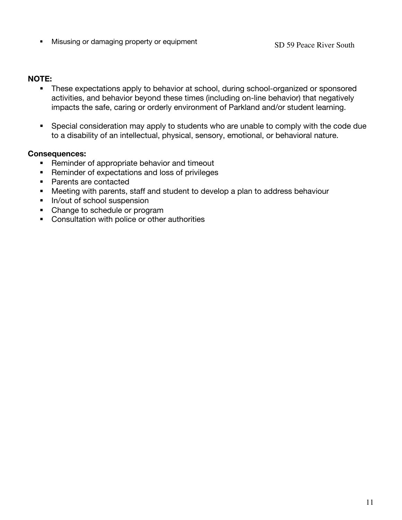• Misusing or damaging property or equipment SD 59 Peace River South

#### **NOTE:**

- These expectations apply to behavior at school, during school-organized or sponsored activities, and behavior beyond these times (including on-line behavior) that negatively impacts the safe, caring or orderly environment of Parkland and/or student learning.
- Special consideration may apply to students who are unable to comply with the code due to a disability of an intellectual, physical, sensory, emotional, or behavioral nature.

#### **Consequences:**

- Reminder of appropriate behavior and timeout
- Reminder of expectations and loss of privileges
- Parents are contacted
- Meeting with parents, staff and student to develop a plan to address behaviour
- In/out of school suspension
- Change to schedule or program
- Consultation with police or other authorities